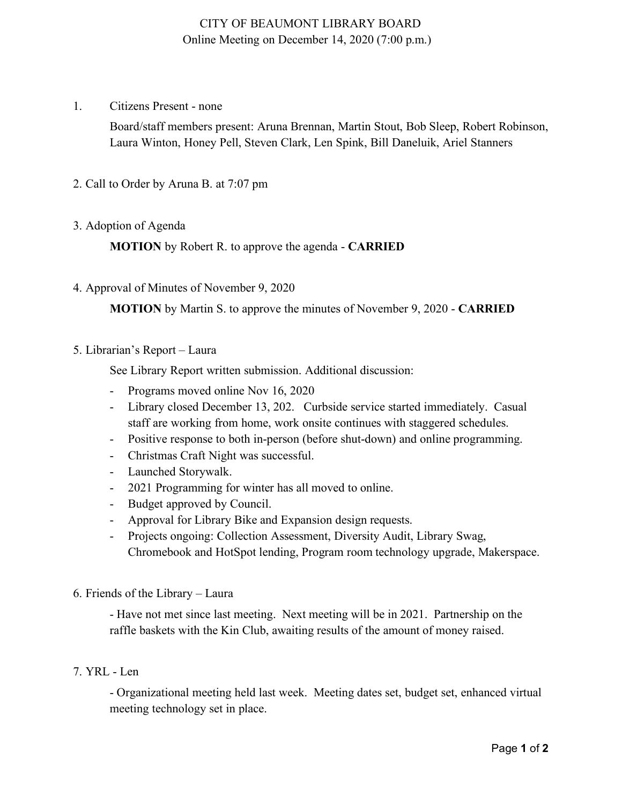## CITY OF BEAUMONT LIBRARY BOARD Online Meeting on December 14, 2020 (7:00 p.m.)

1. Citizens Present - none

Board/staff members present: Aruna Brennan, Martin Stout, Bob Sleep, Robert Robinson, Laura Winton, Honey Pell, Steven Clark, Len Spink, Bill Daneluik, Ariel Stanners

### 2. Call to Order by Aruna B. at 7:07 pm

### 3. Adoption of Agenda

**MOTION** by Robert R. to approve the agenda - **CARRIED**

4. Approval of Minutes of November 9, 2020

**MOTION** by Martin S. to approve the minutes of November 9, 2020 - **CARRIED**

5. Librarian's Report – Laura

See Library Report written submission. Additional discussion:

- Programs moved online Nov 16, 2020
- Library closed December 13, 202. Curbside service started immediately. Casual staff are working from home, work onsite continues with staggered schedules.
- Positive response to both in-person (before shut-down) and online programming.
- Christmas Craft Night was successful.
- Launched Storywalk.
- 2021 Programming for winter has all moved to online.
- Budget approved by Council.
- Approval for Library Bike and Expansion design requests.
- Projects ongoing: Collection Assessment, Diversity Audit, Library Swag, Chromebook and HotSpot lending, Program room technology upgrade, Makerspace.
- 6. Friends of the Library Laura

- Have not met since last meeting. Next meeting will be in 2021. Partnership on the raffle baskets with the Kin Club, awaiting results of the amount of money raised.

#### 7. YRL - Len

- Organizational meeting held last week. Meeting dates set, budget set, enhanced virtual meeting technology set in place.